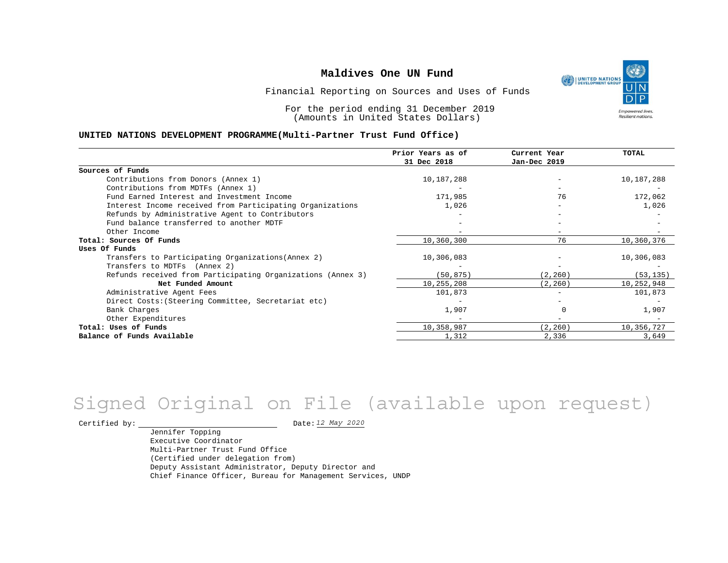UNITED NATIONS **Empowered lives Resilient nations.** 

Financial Reporting on Sources and Uses of Funds

For the period ending 31 December 2019 (Amounts in United States Dollars)

#### **UNITED NATIONS DEVELOPMENT PROGRAMME(Multi-Partner Trust Fund Office)**

|                                                             | Prior Years as of<br>31 Dec 2018 | Current Year<br>Jan-Dec 2019 | TOTAL      |
|-------------------------------------------------------------|----------------------------------|------------------------------|------------|
|                                                             |                                  |                              |            |
| Sources of Funds                                            |                                  |                              |            |
| Contributions from Donors (Annex 1)                         | 10,187,288                       |                              | 10,187,288 |
| Contributions from MDTFs (Annex 1)                          |                                  |                              |            |
| Fund Earned Interest and Investment Income                  | 171,985                          | 76                           | 172,062    |
| Interest Income received from Participating Organizations   | 1,026                            | $-$                          | 1,026      |
| Refunds by Administrative Agent to Contributors             |                                  |                              |            |
| Fund balance transferred to another MDTF                    |                                  |                              |            |
| Other Income                                                |                                  |                              |            |
| Total: Sources Of Funds                                     | 10,360,300                       | 76                           | 10,360,376 |
| Uses Of Funds                                               |                                  |                              |            |
| Transfers to Participating Organizations (Annex 2)          | 10,306,083                       |                              | 10,306,083 |
| Transfers to MDTFs (Annex 2)                                |                                  |                              |            |
| Refunds received from Participating Organizations (Annex 3) | (50,875)                         | (2, 260)                     | (53, 135)  |
| Net Funded Amount                                           | 10,255,208                       | (2, 260)                     | 10,252,948 |
| Administrative Agent Fees                                   | 101,873                          |                              | 101,873    |
| Direct Costs: (Steering Committee, Secretariat etc)         |                                  |                              |            |
| Bank Charges                                                | 1,907                            |                              | 1,907      |
| Other Expenditures                                          |                                  |                              |            |
| Total: Uses of Funds                                        | 10,358,987                       | (2, 260)                     | 10,356,727 |
| Balance of Funds Available                                  | 1,312                            | 2,336                        | 3,649      |

# Signed Original on File (available upon request)

Certified by: Date:

Jennifer Topping Executive Coordinator Multi-Partner Trust Fund Office (Certified under delegation from) Deputy Assistant Administrator, Deputy Director and Chief Finance Officer, Bureau for Management Services, UNDP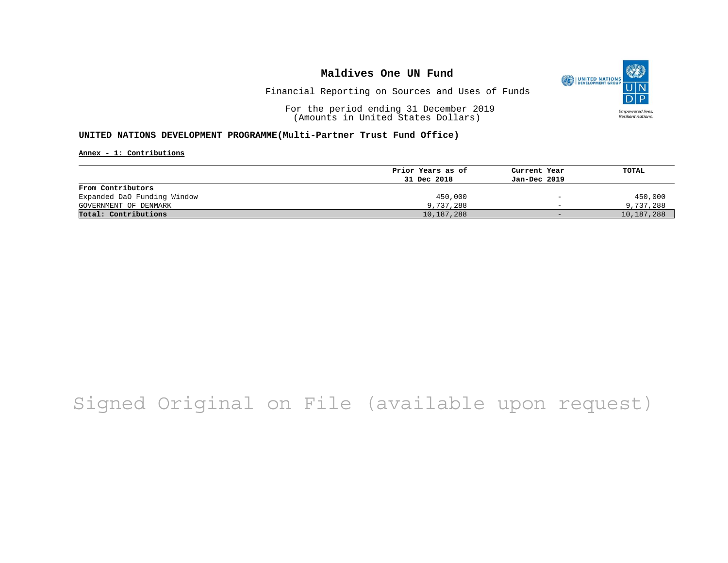

Financial Reporting on Sources and Uses of Funds

For the period ending 31 December 2019 (Amounts in United States Dollars)

#### **UNITED NATIONS DEVELOPMENT PROGRAMME(Multi-Partner Trust Fund Office)**

**Annex - 1: Contributions**

|                             | Prior Years as of | Current Year             | TOTAL      |
|-----------------------------|-------------------|--------------------------|------------|
|                             | 31 Dec 2018       | Jan-Dec 2019             |            |
| From Contributors           |                   |                          |            |
| Expanded DaO Funding Window | 450,000           | $\overline{\phantom{0}}$ | 450,000    |
| GOVERNMENT OF DENMARK       | 9,737,288         | $\overline{\phantom{0}}$ | 9,737,288  |
| Total: Contributions        | 10,187,288        | $-$                      | 10,187,288 |
|                             |                   |                          |            |

# Signed Original on File (available upon request)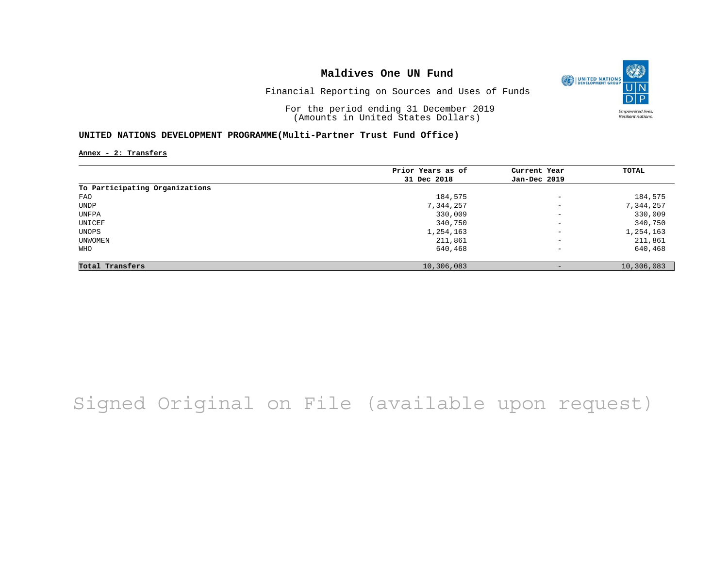

Financial Reporting on Sources and Uses of Funds

For the period ending 31 December 2019 (Amounts in United States Dollars)

#### **UNITED NATIONS DEVELOPMENT PROGRAMME(Multi-Partner Trust Fund Office)**

**Annex - 2: Transfers**

|                                | Prior Years as of | Current Year             | TOTAL      |
|--------------------------------|-------------------|--------------------------|------------|
|                                | 31 Dec 2018       | Jan-Dec 2019             |            |
| To Participating Organizations |                   |                          |            |
| FAO                            | 184,575           | $\overline{\phantom{0}}$ | 184,575    |
| UNDP                           | 7,344,257         | $\overline{\phantom{0}}$ | 7,344,257  |
| UNFPA                          | 330,009           | $\overline{\phantom{a}}$ | 330,009    |
| UNICEF                         | 340,750           | $\qquad \qquad -$        | 340,750    |
| UNOPS                          | 1,254,163         | $\qquad \qquad -$        | 1,254,163  |
| UNWOMEN                        | 211,861           | $-$                      | 211,861    |
| WHO                            | 640,468           | $-$                      | 640,468    |
| Total Transfers                | 10,306,083        | $\qquad \qquad -$        | 10,306,083 |

# Signed Original on File (available upon request)